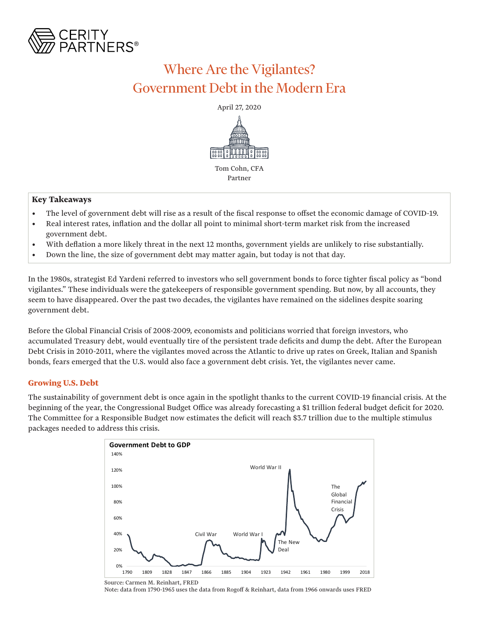

# Where Are the Vigilantes? Government Debt in the Modern Era

April 27, 2020



### **Key Takeaways**

- The level of government debt will rise as a result of the fiscal response to offset the economic damage of COVID-19.
- Real interest rates, inflation and the dollar all point to minimal short-term market risk from the increased government debt.
- With deflation a more likely threat in the next 12 months, government yields are unlikely to rise substantially.
- Down the line, the size of government debt may matter again, but today is not that day.

In the 1980s, strategist Ed Yardeni referred to investors who sell government bonds to force tighter fiscal policy as "bond vigilantes." These individuals were the gatekeepers of responsible government spending. But now, by all accounts, they seem to have disappeared. Over the past two decades, the vigilantes have remained on the sidelines despite soaring government debt.

Before the Global Financial Crisis of 2008-2009, economists and politicians worried that foreign investors, who accumulated Treasury debt, would eventually tire of the persistent trade deficits and dump the debt. After the European Debt Crisis in 2010-2011, where the vigilantes moved across the Atlantic to drive up rates on Greek, Italian and Spanish bonds, fears emerged that the U.S. would also face a government debt crisis. Yet, the vigilantes never came.

### **Growing U.S. Debt**

The sustainability of government debt is once again in the spotlight thanks to the current COVID-19 financial crisis. At the beginning of the year, the Congressional Budget Office was already forecasting a \$1 trillion federal budget deficit for 2020. The Committee for a Responsible Budget now estimates the deficit will reach \$3.7 trillion due to the multiple stimulus packages needed to address this crisis.



Source: Carmen M. Reinhart, FRED Note: data from 1790-1965 uses the data from Rogoff & Reinhart, data from 1966 onwards uses FRED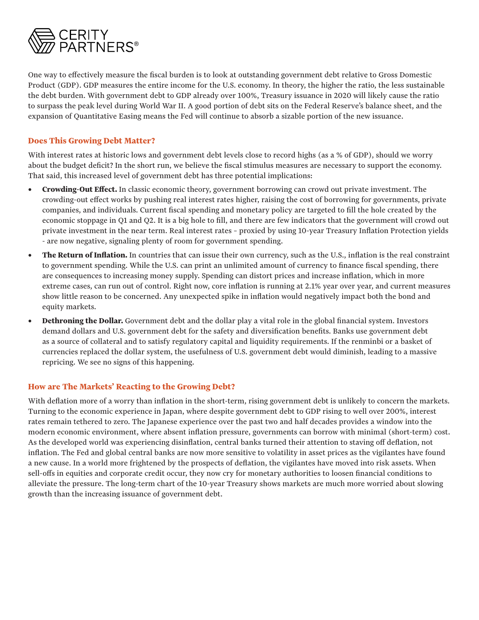

One way to effectively measure the fiscal burden is to look at outstanding government debt relative to Gross Domestic Product (GDP). GDP measures the entire income for the U.S. economy. In theory, the higher the ratio, the less sustainable the debt burden. With government debt to GDP already over 100%, Treasury issuance in 2020 will likely cause the ratio to surpass the peak level during World War II. A good portion of debt sits on the Federal Reserve's balance sheet, and the expansion of Quantitative Easing means the Fed will continue to absorb a sizable portion of the new issuance.

### **Does This Growing Debt Matter?**

With interest rates at historic lows and government debt levels close to record highs (as a % of GDP), should we worry about the budget deficit? In the short run, we believe the fiscal stimulus measures are necessary to support the economy. That said, this increased level of government debt has three potential implications:

- **• Crowding-Out Effect.** In classic economic theory, government borrowing can crowd out private investment. The crowding-out effect works by pushing real interest rates higher, raising the cost of borrowing for governments, private companies, and individuals. Current fiscal spending and monetary policy are targeted to fill the hole created by the economic stoppage in Q1 and Q2. It is a big hole to fill, and there are few indicators that the government will crowd out private investment in the near term. Real interest rates – proxied by using 10-year Treasury Inflation Protection yields - are now negative, signaling plenty of room for government spending.
- **The Return of Inflation.** In countries that can issue their own currency, such as the U.S., inflation is the real constraint to government spending. While the U.S. can print an unlimited amount of currency to finance fiscal spending, there are consequences to increasing money supply. Spending can distort prices and increase inflation, which in more extreme cases, can run out of control. Right now, core inflation is running at 2.1% year over year, and current measures show little reason to be concerned. Any unexpected spike in inflation would negatively impact both the bond and equity markets.
- **• Dethroning the Dollar.** Government debt and the dollar play a vital role in the global financial system. Investors demand dollars and U.S. government debt for the safety and diversification benefits. Banks use government debt as a source of collateral and to satisfy regulatory capital and liquidity requirements. If the renminbi or a basket of currencies replaced the dollar system, the usefulness of U.S. government debt would diminish, leading to a massive repricing. We see no signs of this happening.

## **How are The Markets' Reacting to the Growing Debt?**

With deflation more of a worry than inflation in the short-term, rising government debt is unlikely to concern the markets. Turning to the economic experience in Japan, where despite government debt to GDP rising to well over 200%, interest rates remain tethered to zero. The Japanese experience over the past two and half decades provides a window into the modern economic environment, where absent inflation pressure, governments can borrow with minimal (short-term) cost. As the developed world was experiencing disinflation, central banks turned their attention to staving off deflation, not inflation. The Fed and global central banks are now more sensitive to volatility in asset prices as the vigilantes have found a new cause. In a world more frightened by the prospects of deflation, the vigilantes have moved into risk assets. When sell-offs in equities and corporate credit occur, they now cry for monetary authorities to loosen financial conditions to alleviate the pressure. The long-term chart of the 10-year Treasury shows markets are much more worried about slowing growth than the increasing issuance of government debt.